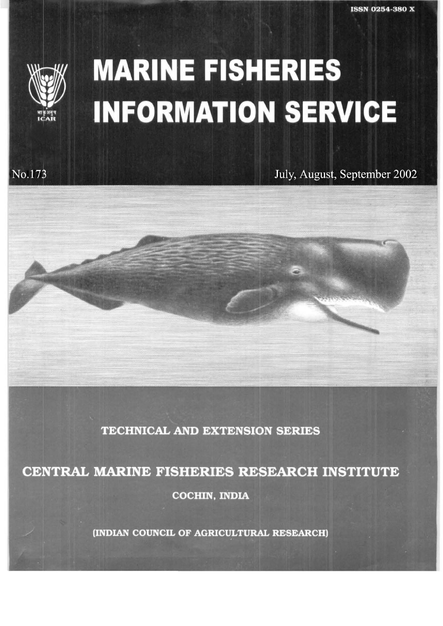

No.173

## **MARINE FISHERIES INFORMATION SERVICE**

July, August, September 2002

**TECHNICAL AND EXTENSION SERIES** 

CENTRAL MARINE FISHERIES RESEARCH INSTITUTE **COCHIN, INDIA** 

(INDIAN COUNCIL OF AGRICULTURAL RESEARCH)